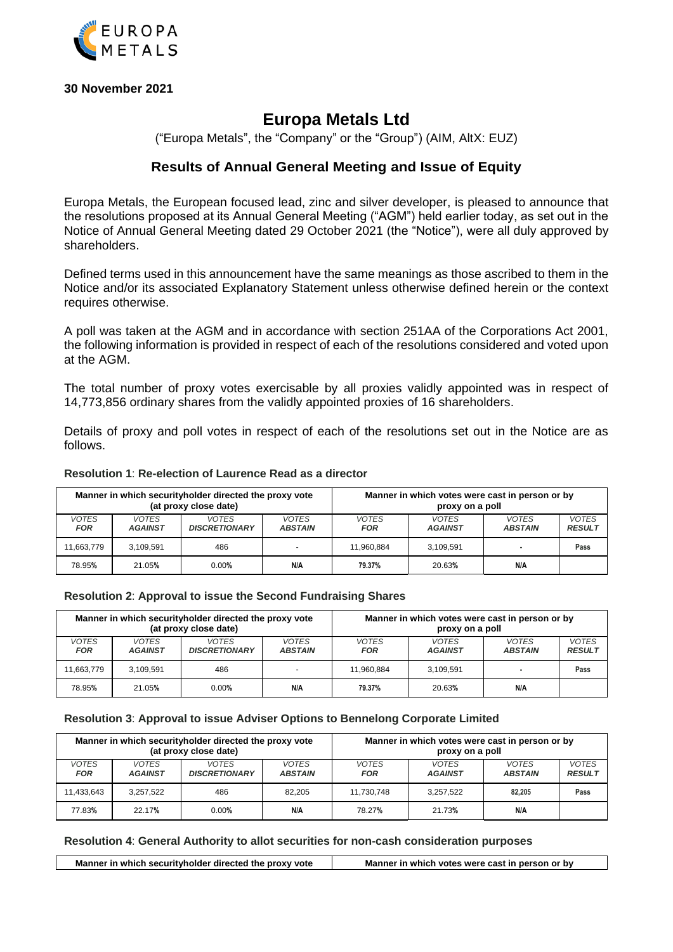

**30 November 2021**

# **Europa Metals Ltd**

("Europa Metals", the "Company" or the "Group") (AIM, AltX: EUZ)

# **Results of Annual General Meeting and Issue of Equity**

Europa Metals, the European focused lead, zinc and silver developer, is pleased to announce that the resolutions proposed at its Annual General Meeting ("AGM") held earlier today, as set out in the Notice of Annual General Meeting dated 29 October 2021 (the "Notice"), were all duly approved by shareholders.

Defined terms used in this announcement have the same meanings as those ascribed to them in the Notice and/or its associated Explanatory Statement unless otherwise defined herein or the context requires otherwise.

A poll was taken at the AGM and in accordance with section 251AA of the Corporations Act 2001, the following information is provided in respect of each of the resolutions considered and voted upon at the AGM.

The total number of proxy votes exercisable by all proxies validly appointed was in respect of 14,773,856 ordinary shares from the validly appointed proxies of 16 shareholders.

Details of proxy and poll votes in respect of each of the resolutions set out in the Notice are as follows.

#### **Resolution 1**: **Re-election of Laurence Read as a director**

| Manner in which security holder directed the proxy vote |                |                      |                | Manner in which votes were cast in person or by |                |                |               |
|---------------------------------------------------------|----------------|----------------------|----------------|-------------------------------------------------|----------------|----------------|---------------|
| (at proxy close date)                                   |                |                      |                | proxy on a poll                                 |                |                |               |
| <b>VOTES</b>                                            | <b>VOTES</b>   | <b>VOTES</b>         | VOTES          | <b>VOTES</b>                                    | <b>VOTES</b>   | <b>VOTES</b>   | <b>VOTES</b>  |
| <b>FOR</b>                                              | <b>AGAINST</b> | <b>DISCRETIONARY</b> | <b>ABSTAIN</b> | <b>FOR</b>                                      | <b>AGAINST</b> | <b>ABSTAIN</b> | <b>RESULT</b> |
| 11.663.779                                              | 3.109.591      | 486                  | <b>100</b>     | 11.960.884                                      | 3.109.591      |                | Pass          |
| 78.95%                                                  | 21.05%         | 0.00%                | N/A            | 79.37%                                          | 20.63%         | N/A            |               |

#### **Resolution 2**: **Approval to issue the Second Fundraising Shares**

| Manner in which security holder directed the proxy vote |                |                      |                          | Manner in which votes were cast in person or by |                |                |               |
|---------------------------------------------------------|----------------|----------------------|--------------------------|-------------------------------------------------|----------------|----------------|---------------|
| (at proxy close date)                                   |                |                      |                          | proxy on a poll                                 |                |                |               |
| <b>VOTES</b>                                            | <b>VOTES</b>   | <b>VOTES</b>         | <b>VOTES</b>             | <b>VOTES</b>                                    | <b>VOTES</b>   | <b>VOTES</b>   | <b>VOTES</b>  |
| <b>FOR</b>                                              | <b>AGAINST</b> | <b>DISCRETIONARY</b> | <b>ABSTAIN</b>           | <b>FOR</b>                                      | <b>AGAINST</b> | <b>ABSTAIN</b> | <b>RESULT</b> |
| 11.663.779                                              | 3,109,591      | 486                  | $\overline{\phantom{0}}$ | 11.960.884                                      | 3.109.591      |                | Pass          |
| 78.95%                                                  | 21.05%         | 0.00%                | N/A                      | 79.37%                                          | 20.63%         | N/A            |               |

#### **Resolution 3**: **Approval to issue Adviser Options to Bennelong Corporate Limited**

| Manner in which security holder directed the proxy vote |                |                      |                | Manner in which votes were cast in person or by |                |                |               |
|---------------------------------------------------------|----------------|----------------------|----------------|-------------------------------------------------|----------------|----------------|---------------|
| (at proxy close date)                                   |                |                      |                | proxy on a poll                                 |                |                |               |
| <i>VOTES</i>                                            | <b>VOTES</b>   | <b>VOTES</b>         | <b>VOTES</b>   | <b>VOTES</b>                                    | <b>VOTES</b>   | <b>VOTES</b>   | <b>VOTES</b>  |
| <b>FOR</b>                                              | <b>AGAINST</b> | <b>DISCRETIONARY</b> | <b>ABSTAIN</b> | <b>FOR</b>                                      | <b>AGAINST</b> | <b>ABSTAIN</b> | <b>RESULT</b> |
| 11.433.643                                              | 3.257.522      | 486                  | 82.205         | 11.730.748                                      | 3.257.522      | 82.205         | Pass          |
| 77.83%                                                  | 22.17%         | 0.00%                | N/A            | 78.27%                                          | 21.73%         | N/A            |               |

#### **Resolution 4**: **General Authority to allot securities for non-cash consideration purposes**

Manner in which securityholder directed the proxy vote Manner in which votes were cast in person or by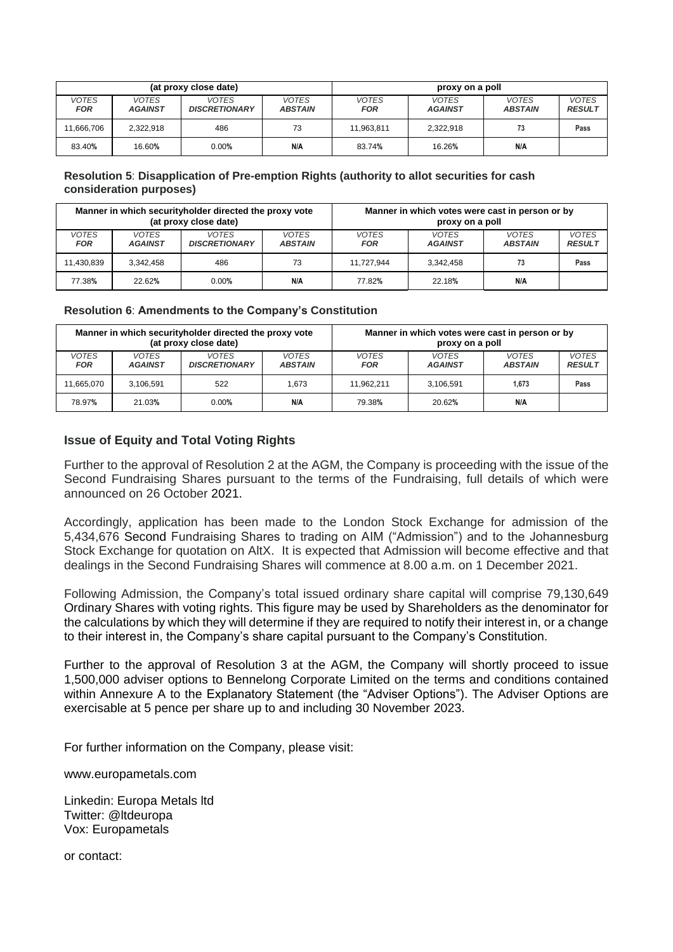| (at proxy close date) |                                |                                      |                                | proxy on a poll            |                                |                         |                               |
|-----------------------|--------------------------------|--------------------------------------|--------------------------------|----------------------------|--------------------------------|-------------------------|-------------------------------|
| <b>VOTES</b><br>FOR   | <b>VOTES</b><br><b>AGAINST</b> | <b>VOTES</b><br><b>DISCRETIONARY</b> | <b>VOTES</b><br><b>ABSTAIN</b> | <b>VOTES</b><br><b>FOR</b> | <b>VOTES</b><br><b>AGAINST</b> | VOTES<br><b>ABSTAIN</b> | <b>VOTES</b><br><b>RESULT</b> |
| 11.666.706            | 2,322,918                      | 486                                  | 73                             | 11,963,811                 | 2,322,918                      | 73                      | Pass                          |
| 83.40%                | 16.60%                         | 0.00%                                | N/A                            | 83.74%                     | 16.26%                         | N/A                     |                               |

## **Resolution 5**: **Disapplication of Pre-emption Rights (authority to allot securities for cash consideration purposes)**

| Manner in which security holder directed the proxy vote |                |                      |                | Manner in which votes were cast in person or by |                |                |               |
|---------------------------------------------------------|----------------|----------------------|----------------|-------------------------------------------------|----------------|----------------|---------------|
| (at proxy close date)                                   |                |                      |                | proxy on a poll                                 |                |                |               |
| VOTES                                                   | <b>VOTES</b>   | <b>VOTES</b>         | <b>VOTES</b>   | <b>VOTES</b>                                    | <b>VOTES</b>   | <b>VOTES</b>   | <b>VOTES</b>  |
| <b>FOR</b>                                              | <b>AGAINST</b> | <b>DISCRETIONARY</b> | <b>ABSTAIN</b> | <b>FOR</b>                                      | <b>AGAINST</b> | <b>ABSTAIN</b> | <b>RESULT</b> |
| 11,430,839                                              | 3,342,458      | 486                  | 73             | 11.727.944                                      | 3.342.458      |                | Pass          |
| 77.38%                                                  | 22.62%         | 0.00%                | N/A            | 77.82%                                          | 22.18%         | N/A            |               |

### **Resolution 6**: **Amendments to the Company's Constitution**

| Manner in which security holder directed the proxy vote |                |                      |                | Manner in which votes were cast in person or by |                |                |               |
|---------------------------------------------------------|----------------|----------------------|----------------|-------------------------------------------------|----------------|----------------|---------------|
| (at proxy close date)                                   |                |                      |                | proxy on a poll                                 |                |                |               |
| <b>VOTES</b>                                            | <b>VOTES</b>   | <b>VOTES</b>         | <b>VOTES</b>   | <b>VOTES</b>                                    | <b>VOTES</b>   | <b>VOTES</b>   | <b>VOTES</b>  |
| <b>FOR</b>                                              | <b>AGAINST</b> | <b>DISCRETIONARY</b> | <b>ABSTAIN</b> | <b>FOR</b>                                      | <b>AGAINST</b> | <b>ABSTAIN</b> | <b>RESULT</b> |
| 11.665.070                                              | 3,106,591      | 522                  | 1.673          | 11.962.211                                      | 3.106.591      | 1.673          | Pass          |
| 78.97%                                                  | 21.03%         | 0.00%                | N/A            | 79.38%                                          | 20.62%         | N/A            |               |

## **Issue of Equity and Total Voting Rights**

Further to the approval of Resolution 2 at the AGM, the Company is proceeding with the issue of the Second Fundraising Shares pursuant to the terms of the Fundraising, full details of which were announced on 26 October 2021.

Accordingly, application has been made to the London Stock Exchange for admission of the 5,434,676 Second Fundraising Shares to trading on AIM ("Admission") and to the Johannesburg Stock Exchange for quotation on AltX. It is expected that Admission will become effective and that dealings in the Second Fundraising Shares will commence at 8.00 a.m. on 1 December 2021.

Following Admission, the Company's total issued ordinary share capital will comprise 79,130,649 Ordinary Shares with voting rights. This figure may be used by Shareholders as the denominator for the calculations by which they will determine if they are required to notify their interest in, or a change to their interest in, the Company's share capital pursuant to the Company's Constitution.

Further to the approval of Resolution 3 at the AGM, the Company will shortly proceed to issue 1,500,000 adviser options to Bennelong Corporate Limited on the terms and conditions contained within Annexure A to the Explanatory Statement (the "Adviser Options"). The Adviser Options are exercisable at 5 pence per share up to and including 30 November 2023.

For further information on the Company, please visit:

www.europametals.com

Linkedin: Europa Metals ltd Twitter: @ltdeuropa Vox: Europametals

or contact: